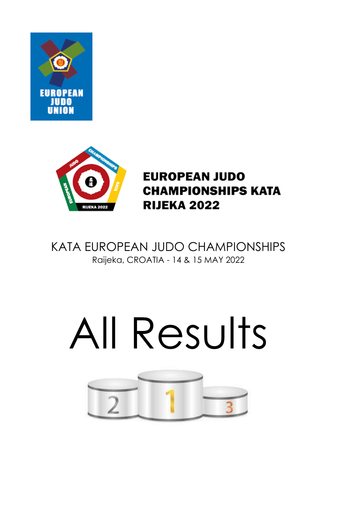



**EUROPEAN JUDO CHAMPIONSHIPS KATA RIJEKA 2022** 

KATA EUROPEAN JUDO CHAMPIONSHIPS Raijeka, CROATIA - 14 & 15 MAY 2022

# All Results

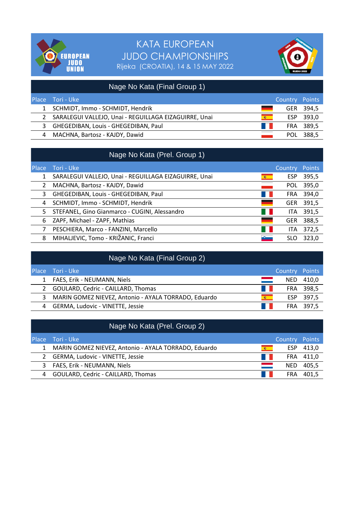



|              | Nage No Kata (Final Group 1)                          |      |                |           |
|--------------|-------------------------------------------------------|------|----------------|-----------|
| Place        | Tori - Uke                                            |      | Country Points |           |
| $\mathbf{1}$ | SCHMIDT, Immo - SCHMIDT, Hendrik                      |      |                | GER 394,5 |
|              | SARALEGUI VALLEJO, Unai - REGUILLAGA EIZAGUIRRE, Unai | 高    | ESP            | 393,0     |
| 3            | GHEGEDIBAN, Louis - GHEGEDIBAN, Paul                  | an i |                | FRA 389,5 |
| 4            | MACHNA, Bartosz - KAJDY, Dawid                        |      |                | POL 388,5 |

|              | Nage No Kata (Prel. Group 1)                          |                    |        |
|--------------|-------------------------------------------------------|--------------------|--------|
| <b>Place</b> | Tori - Uke                                            | Country            | Points |
| 1            | SARALEGUI VALLEJO, Unai - REGUILLAGA EIZAGUIRRE, Unai | <b>ESP</b><br>68 - | 395,5  |
| 2            | MACHNA, Bartosz - KAJDY, Dawid                        | <b>POL</b>         | 395,0  |
| 3            | GHEGEDIBAN, Louis - GHEGEDIBAN, Paul                  | <b>FRA</b>         | 394,0  |
| 4            | SCHMIDT, Immo - SCHMIDT, Hendrik                      | <b>GER</b>         | 391,5  |
| 5            | STEFANEL, Gino Gianmarco - CUGINI, Alessandro         | ITA.               | 391,5  |
| 6            | ZAPF, Michael - ZAPF, Mathias                         | <b>GER</b>         | 388,5  |
|              | PESCHIERA, Marco - FANZINI, Marcello                  | <b>ITA</b>         | 372,5  |
| 8            | MIHALJEVIC, Tomo - KRIŽANIC, Franci                   | SLO                | 323.0  |

|              | Nage No Kata (Final Group 2)                         |       |            |           |
|--------------|------------------------------------------------------|-------|------------|-----------|
| <b>Place</b> | - Tori - Uke                                         |       | Country    | Points    |
|              | FAES, Erik - NEUMANN, Niels                          |       | NED.       | 410,0     |
|              | 2 GOULARD, Cedric - CAILLARD, Thomas                 | a ka  |            | FRA 398,5 |
| 3            | MARIN GOMEZ NIEVEZ, Antonio - AYALA TORRADO, Eduardo | 600 - |            | ESP 397,5 |
| 4            | GERMA, Ludovic - VINETTE, Jessie                     |       | <b>FRA</b> | - 397.5   |

|   | Nage No Kata (Prel. Group 2)                         |      |                |           |
|---|------------------------------------------------------|------|----------------|-----------|
|   | Place Tori - Uke                                     |      | Country Points |           |
|   | MARIN GOMEZ NIEVEZ, Antonio - AYALA TORRADO, Eduardo | 编一   | <b>ESP</b>     | 413,0     |
|   | 2 GERMA, Ludovic - VINETTE, Jessie                   | a ka |                | FRA 411,0 |
| 3 | FAES, Erik - NEUMANN, Niels                          |      | <b>NED</b>     | 405.5     |
| 4 | GOULARD, Cedric - CAILLARD, Thomas                   |      | <b>FRA</b>     | 401.5     |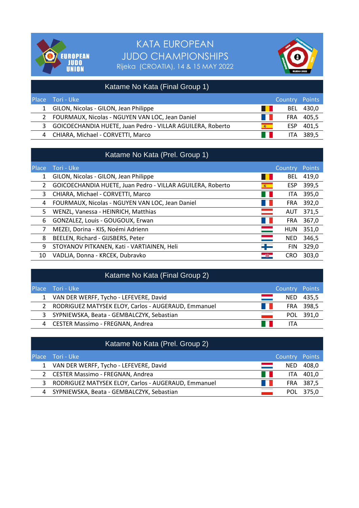



|              | Katame No Kata (Final Group 1)                             |          |                |         |
|--------------|------------------------------------------------------------|----------|----------------|---------|
|              | Place Tori - Uke                                           |          | Country Points |         |
| $\mathbf{1}$ | GILON, Nicolas - GILON, Jean Philippe                      |          | <b>BEL</b>     | 430,0   |
|              | FOURMAUX, Nicolas - NGUYEN VAN LOC, Jean Daniel            | a katika | FRA            | 405.5   |
| 3            | GOICOECHANDIA HUETE, Juan Pedro - VILLAR AGUILERA, Roberto | 600      | ESP            | 401,5   |
| 4            | CHIARA, Michael - CORVETTI, Marco                          | a ka     | ITA.           | - 389.5 |

|              | Katame No Kata (Prel. Group 1)                             |                          |            |               |
|--------------|------------------------------------------------------------|--------------------------|------------|---------------|
| <b>Place</b> | Tori - Uke                                                 |                          | Country    | <b>Points</b> |
| 1            | GILON, Nicolas - GILON, Jean Philippe                      |                          | <b>BEL</b> | 419,0         |
| 2            | GOICOECHANDIA HUETE, Juan Pedro - VILLAR AGUILERA, Roberto | 麻                        | <b>ESP</b> | 399,5         |
| 3            | CHIARA, Michael - CORVETTI, Marco                          |                          | ITA.       | 395,0         |
| 4            | FOURMAUX, Nicolas - NGUYEN VAN LOC, Jean Daniel            |                          | <b>FRA</b> | 392,0         |
| 5            | WENZL, Vanessa - HEINRICH, Matthias                        |                          | AUT        | 371,5         |
| 6            | GONZALEZ, Louis - GOUGOUX, Erwan                           |                          | <b>FRA</b> | 367,0         |
| 7            | MEZEI, Dorina - KIS, Noémi Adrienn                         | $\overline{\phantom{0}}$ | <b>HUN</b> | 351,0         |
| 8            | BEELEN, Richard - GIJSBERS, Peter                          |                          | <b>NED</b> | 346,5         |
| 9            | STOYANOV PITKANEN, Kati - VARTIAINEN, Heli                 | - 1-                     | <b>FIN</b> | 329,0         |
| 10           | VADLJA, Donna - KRCEK, Dubravko                            | $\rightarrow$            | <b>CRO</b> | 303,0         |

|   | Katame No Kata (Final Group 2)                      |                          |                |           |
|---|-----------------------------------------------------|--------------------------|----------------|-----------|
|   | Place Tori - Uke                                    |                          | Country Points |           |
|   | 1 VAN DER WERFF, Tycho - LEFEVERE, David            |                          | NED.           | 435,5     |
|   | RODRIGUEZ MATYSEK ELOY, Carlos - AUGERAUD, Emmanuel | <b>Contract Contract</b> |                | FRA 398,5 |
| 3 | SYPNIEWSKA, Beata - GEMBALCZYK, Sebastian           |                          |                | POL 391,0 |
| 4 | <b>CESTER Massimo - FREGNAN, Andrea</b>             |                          | ITA            |           |

|   | Katame No Kata (Prel. Group 2)                      |      |                |           |
|---|-----------------------------------------------------|------|----------------|-----------|
|   | Place Tori - Uke                                    |      | Country Points |           |
|   | 1 VAN DER WERFF, Tycho - LEFEVERE, David            |      | NED.           | 408,0     |
|   | 2 CESTER Massimo - FREGNAN, Andrea                  | a ka | ITA.           | 401,0     |
| 3 | RODRIGUEZ MATYSEK ELOY, Carlos - AUGERAUD, Emmanuel |      |                | FRA 387,5 |
|   | 4 SYPNIEWSKA, Beata - GEMBALCZYK, Sebastian         |      | POL            | 375.0     |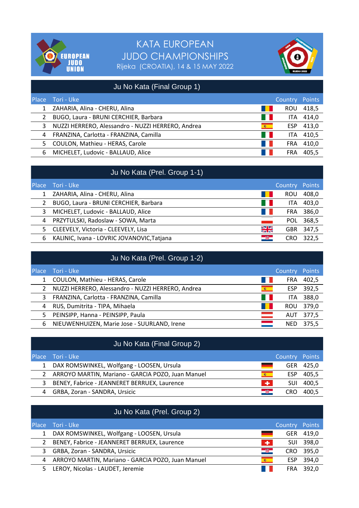



| Ju No Kata (Final Group 1) |                                                   |                   |            |        |
|----------------------------|---------------------------------------------------|-------------------|------------|--------|
| Place                      | Tori - Uke                                        |                   | Country    | Points |
| 1                          | ZAHARIA, Alina - CHERU, Alina                     |                   | <b>ROU</b> | 418,5  |
|                            | BUGO, Laura - BRUNI CERCHIER, Barbara             | <b>TELEVISION</b> | ITA.       | 414,0  |
| 3                          | NUZZI HERRERO, Alessandro - NUZZI HERRERO, Andrea | <b>RECORD</b>     | ESP        | 413,0  |
| 4                          | FRANZINA, Carlotta - FRANZINA, Camilla            | <b>START</b>      | <b>ITA</b> | 410,5  |
| 5.                         | COULON, Mathieu - HERAS, Carole                   | a katika          | <b>FRA</b> | 410,0  |
| 6                          | MICHELET, Ludovic - BALLAUD, Alice                |                   | <b>FRA</b> | 405,5  |

|              | Ju No Kata (Prel. Group 1-1)               |                           |            |        |
|--------------|--------------------------------------------|---------------------------|------------|--------|
| <b>Place</b> | i Tori - Uke <sup>i</sup>                  |                           | Country    | Points |
|              | ZAHARIA, Alina - CHERU, Alina              |                           | ROU        | 408,0  |
|              | BUGO, Laura - BRUNI CERCHIER, Barbara      | <b>The Contract State</b> | <b>ITA</b> | 403,0  |
| 3            | MICHELET, Ludovic - BALLAUD, Alice         | a sa Tan                  | <b>FRA</b> | 386,0  |
| 4            | PRZYTULSKI, Radoslaw - SOWA, Marta         |                           | <b>POL</b> | 368,5  |
| 5.           | CLEEVELY, Victoria - CLEEVELY, Lisa        | 兴                         | <b>GBR</b> | 347,5  |
| 6            | KALINIC, Ivana - LOVRIC JOVANOVIC, Tatjana | a Kir                     | CRO        | 322.5  |

|              | Ju No Kata (Prel. Group 1-2)                      |               |            |               |
|--------------|---------------------------------------------------|---------------|------------|---------------|
| <b>Place</b> | Tori - Uke                                        |               | Country    | <b>Points</b> |
|              | COULON, Mathieu - HERAS, Carole                   |               | <b>FRA</b> | 402,5         |
|              | NUZZI HERRERO, Alessandro - NUZZI HERRERO, Andrea | 第二            | <b>ESP</b> | 392,5         |
| 3            | FRANZINA, Carlotta - FRANZINA, Camilla            | a sa n        | ITA        | 388,0         |
| 4            | RUS, Dumitrita - TIPA, Mihaela                    |               | <b>ROU</b> | 379,0         |
| 5.           | PEINSIPP, Hanna - PEINSIPP, Paula                 | $\equiv$      | AUT.       | 377,5         |
| 6            | NIEUWENHUIZEN, Marie Jose - SUURLAND, Irene       | $\Rightarrow$ | NED.       | 375.5         |

|   | Ju No Kata (Final Group 2)                          |       |                |       |
|---|-----------------------------------------------------|-------|----------------|-------|
|   | Place Tori - Uke                                    |       | Country Points |       |
|   | DAX ROMSWINKEL, Wolfgang - LOOSEN, Ursula           |       | GER            | 425.0 |
|   | 2 ARROYO MARTIN, Mariano - GARCIA POZO, Juan Manuel | 编一    | <b>ESP</b>     | 405.5 |
| 3 | BENEY, Fabrice - JEANNERET BERRUEX, Laurence        | ÷     | <b>SUI</b>     | 400,5 |
| 4 | GRBA, Zoran - SANDRA, Ursicic                       | - 681 | CRO            | 400.5 |

|              | Ju No Kata (Prel. Group 2)                        |           |                |        |
|--------------|---------------------------------------------------|-----------|----------------|--------|
| <b>Place</b> | Tori - Uke                                        |           | <b>Country</b> | Points |
| $\mathbf{1}$ | DAX ROMSWINKEL, Wolfgang - LOOSEN, Ursula         |           | <b>GER</b>     | 419,0  |
| 2            | BENEY, Fabrice - JEANNERET BERRUEX, Laurence      | <b>TA</b> | <b>SUI</b>     | 398,0  |
| 3            | GRBA, Zoran - SANDRA, Ursicic                     | 一碗一       | <b>CRO</b>     | 395,0  |
| 4            | ARROYO MARTIN, Mariano - GARCIA POZO, Juan Manuel | <b>高二</b> | ESP            | 394,0  |
| 5.           | LEROY, Nicolas - LAUDET, Jeremie                  |           | <b>FRA</b>     | 392,0  |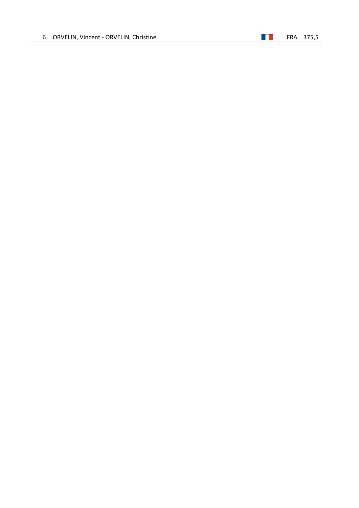| 6. | ORVELIN, Vincent - ORVELIN, Christine |  |  |  |
|----|---------------------------------------|--|--|--|
|----|---------------------------------------|--|--|--|

#### $\blacksquare$  FRA 375,5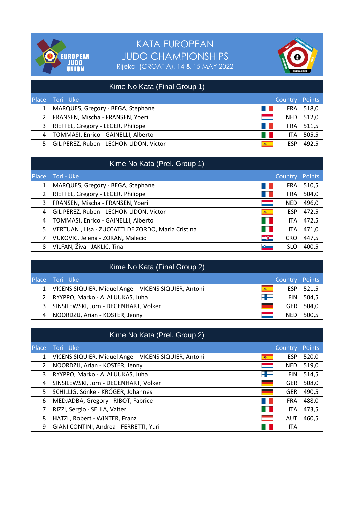



|       | Kime No Kata (Final Group 1)            |                   |                |           |
|-------|-----------------------------------------|-------------------|----------------|-----------|
| Place | Tori - Uke                              |                   | Country Points |           |
|       | MARQUES, Gregory - BEGA, Stephane       |                   |                | FRA 518,0 |
| 2     | FRANSEN, Mischa - FRANSEN, Yoeri        | ═                 | NED.           | 512,0     |
| 3     | RIEFFEL, Gregory - LEGER, Philippe      | a katika          |                | FRA 511,5 |
| 4     | TOMMASI, Enrico - GAINELLI, Alberto     | <b>CONTRACTOR</b> | <b>ITA</b>     | 505,5     |
| 5.    | GIL PEREZ, Ruben - LECHON LIDON, Victor | 编一                | <b>ESP</b>     | 492.5     |

|       | Kime No Kata (Prel. Group 1)                       |           |            |        |
|-------|----------------------------------------------------|-----------|------------|--------|
| Place | Tori - Uke                                         |           | Country    | Points |
| 1     | MARQUES, Gregory - BEGA, Stephane                  |           | <b>FRA</b> | 510,5  |
| 2     | RIEFFEL, Gregory - LEGER, Philippe                 |           | <b>FRA</b> | 504,0  |
| 3     | FRANSEN, Mischa - FRANSEN, Yoeri                   |           | <b>NED</b> | 496,0  |
| 4     | GIL PEREZ, Ruben - LECHON LIDON, Victor            | <b>高二</b> | <b>ESP</b> | 472,5  |
| 4     | TOMMASI, Enrico - GAINELLI, Alberto                |           | ITA.       | 472,5  |
| 5.    | VERTUANI, Lisa - ZUCCATTI DE ZORDO, Maria Cristina |           | ITA        | 471,0  |
|       | VUKOVIC, Jelena - ZORAN, Malecic                   | -81       | <b>CRO</b> | 447,5  |
| 8     | VILFAN, Živa - JAKLIC, Tina                        |           | SLO        | 400.5  |

|              | Kime No Kata (Final Group 2)                          |     |            |        |
|--------------|-------------------------------------------------------|-----|------------|--------|
| <b>Place</b> | i Tori - Uke '                                        |     | Country    | Points |
|              | VICENS SIQUIER, Miquel Angel - VICENS SIQUIER, Antoni | 600 | <b>ESP</b> | 521,5  |
| 2            | RYYPPO, Marko - ALALUUKAS, Juha                       | -1- | <b>FIN</b> | 504,5  |
| 3            | SINSILEWSKI, Jörn - DEGENHART, Volker                 |     | GER        | 504,0  |
| 4            | NOORDZIJ, Arian - KOSTER, Jenny                       |     | <b>NED</b> | 500,5  |
|              |                                                       |     |            |        |

|               | Kime No Kata (Prel. Group 2)                          |     |                |               |  |
|---------------|-------------------------------------------------------|-----|----------------|---------------|--|
| <b>Place</b>  | Tori - Uke                                            |     | <b>Country</b> | <b>Points</b> |  |
| 1             | VICENS SIQUIER, Miquel Angel - VICENS SIQUIER, Antoni | 600 | <b>ESP</b>     | 520,0         |  |
| $\mathcal{P}$ | NOORDZIJ, Arian - KOSTER, Jenny                       |     | <b>NED</b>     | 519,0         |  |
| 3             | RYYPPO, Marko - ALALUUKAS, Juha                       | ┽╾  | <b>FIN</b>     | 514,5         |  |
| 4             | SINSILEWSKI, Jörn - DEGENHART, Volker                 |     | <b>GER</b>     | 508,0         |  |
| 5             | SCHILLIG, Sönke - KRÖGER, Johannes                    |     | <b>GER</b>     | 490,5         |  |
| 6             | MEDJADBA, Gregory - RIBOT, Fabrice                    |     | <b>FRA</b>     | 488,0         |  |
|               | RIZZI, Sergio - SELLA, Valter                         |     | ITA            | 473,5         |  |
| 8             | HATZL, Robert - WINTER, Franz                         |     | AUT            | 460,5         |  |
| 9             | GIANI CONTINI, Andrea - FERRETTI, Yuri                |     | <b>ITA</b>     |               |  |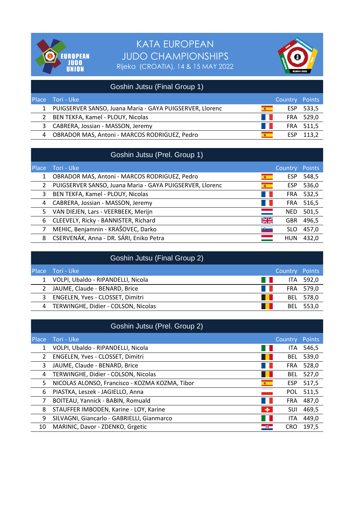



|   | Goshin Jutsu (Final Group 1)                             |          |                |           |
|---|----------------------------------------------------------|----------|----------------|-----------|
|   | Place Tori - Uke                                         |          | Country Points |           |
|   | PUIGSERVER SANSO, Juana Maria - GAYA PUIGSERVER, Llorenc | 编一       | ESP.           | 533,5     |
| 2 | BEN TEKFA, Kamel - PLOUY, Nicolas                        | a katika |                | FRA 529,0 |
| 3 | CABRERA, Jossian - MASSON, Jeremy                        | a ka     |                | FRA 511,5 |
| 4 | OBRADOR MAS, Antoni - MARCOS RODRIGUEZ, Pedro            | 600 -    | ESP            | 113.2     |

| Goshin Jutsu (Prel. Group 1) |  |
|------------------------------|--|
|                              |  |

| <b>Place</b> | Tori - Uke                                               |        | Country    | <b>Points</b> |
|--------------|----------------------------------------------------------|--------|------------|---------------|
| 1            | OBRADOR MAS, Antoni - MARCOS RODRIGUEZ, Pedro            | 600    | <b>ESP</b> | 548,5         |
| 2            | PUIGSERVER SANSO, Juana Maria - GAYA PUIGSERVER, Llorenc | 幕。     | <b>ESP</b> | 536,0         |
| 3            | BEN TEKFA, Kamel - PLOUY, Nicolas                        |        | <b>FRA</b> | 532,5         |
| 4            | CABRERA, Jossian - MASSON, Jeremy                        |        | <b>FRA</b> | 516,5         |
| 5            | VAN DIEJEN, Lars - VEERBEEK, Merijn                      |        | <b>NED</b> | 501,5         |
| 6            | CLEEVELY, Ricky - BANNISTER, Richard                     | ¥K     | <b>GBR</b> | 496,5         |
| 7            | MEHIC, Benjamnin - KRAŠOVEC, Darko                       | $\sim$ | <b>SLO</b> | 457,0         |
| 8            | CSERVENÁK, Anna - DR. SÁRI, Eniko Petra                  |        | <b>HUN</b> | 432,0         |

|   | Goshin Jutsu (Final Group 2)            |            |           |
|---|-----------------------------------------|------------|-----------|
|   | <b>Place</b> Tori - Uke                 | Country    | Points    |
|   | VOLPI, Ubaldo - RIPANDELLI, Nicola      | a ka       | ITA 592,0 |
|   | JAUME, Claude - BENARD, Brice<br>a kale |            | FRA 579,0 |
| 3 | ENGELEN, Yves - CLOSSET, Dimitri        | BEL        | 578,0     |
| 4 | TERWINGHE, Didier - COLSON, Nicolas     | <b>BEL</b> | 553.0     |
|   |                                         |            |           |

|              | Goshin Jutsu (Prel. Group 2)                        |            |        |
|--------------|-----------------------------------------------------|------------|--------|
| <b>Place</b> | Tori - Uke                                          | Country    | Points |
|              | VOLPI, Ubaldo - RIPANDELLI, Nicola                  | <b>ITA</b> | 546,5  |
| 2            | ENGELEN, Yves - CLOSSET, Dimitri                    | <b>BEL</b> | 539,0  |
| 3            | JAUME, Claude - BENARD, Brice                       | <b>FRA</b> | 528,0  |
| 4            | TERWINGHE, Didier - COLSON, Nicolas                 | <b>BEL</b> | 527,0  |
| 5            | NICOLAS ALONSO, Francisco - KOZMA KOZMA, Tibor<br>编 | <b>ESP</b> | 517,5  |
| 6            | PIASTKA, Leszek - JAGIELLO, Anna                    | <b>POL</b> | 511,5  |
| 7            | BOITEAU, Yannick - BABIN, Romuald                   | <b>FRA</b> | 487,0  |
| 8            | STAUFFER IMBODEN, Karine - LOY, Karine<br>$\bullet$ | SUI        | 469,5  |
| 9            | SILVAGNI, Giancarlo - GABRIELLI, Gianmarco          | ITA        | 449,0  |
| 10           | MARINIC, Davor - ZDENKO, Grgetic<br>-81             | <b>CRO</b> | 197,5  |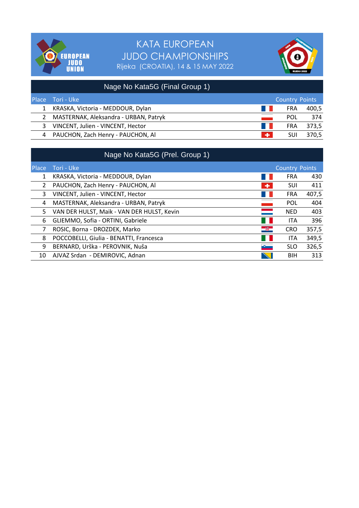



|   | Nage No Kata5G (Final Group 1)        |      |                       |       |
|---|---------------------------------------|------|-----------------------|-------|
|   | Place Tori - Uke                      |      | <b>Country Points</b> |       |
|   | KRASKA, Victoria - MEDDOUR, Dylan     | a ka | <b>FRA</b>            | 400,5 |
| 2 | MASTERNAK, Aleksandra - URBAN, Patryk |      | POL                   | 374   |
| 3 | VINCENT, Julien - VINCENT, Hector     | a ka | <b>FRA</b>            | 373,5 |
| 4 | PAUCHON, Zach Henry - PAUCHON, Al     | ÷    | SUI                   | 370,5 |

|              | Nage No Kata5G (Prel. Group 1)                        |                       |       |
|--------------|-------------------------------------------------------|-----------------------|-------|
| <b>Place</b> | Tori - Uke                                            | <b>Country Points</b> |       |
| 1            | KRASKA, Victoria - MEDDOUR, Dylan                     | <b>FRA</b>            | 430   |
| 2            | PAUCHON, Zach Henry - PAUCHON, Al<br>÷                | <b>SUI</b>            | 411   |
| 3            | VINCENT, Julien - VINCENT, Hector                     | <b>FRA</b>            | 407,5 |
| 4            | MASTERNAK, Aleksandra - URBAN, Patryk                 | <b>POL</b>            | 404   |
| 5            | a sa na<br>VAN DER HULST, Maik - VAN DER HULST, Kevin | <b>NED</b>            | 403   |
| 6            | GLIEMMO, Sofia - ORTINI, Gabriele                     | <b>ITA</b>            | 396   |
|              | $-$ 35 $-$<br>ROSIC, Borna - DROZDEK, Marko           | <b>CRO</b>            | 357,5 |
| 8            | POCCOBELLI, Giulia - BENATTI, Francesca               | <b>ITA</b>            | 349,5 |
| 9            | BERNARD, Urška - PEROVNIK, Nuša<br>$\bullet$          | <b>SLO</b>            | 326,5 |
| 10           | AJVAZ Srdan - DEMIROVIC, Adnan                        | <b>BIH</b>            | 313   |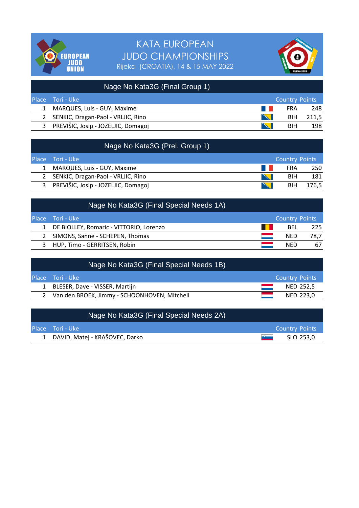



|              | Nage No Kata3G (Final Group 1)       |                                                                                                                       |                       |       |
|--------------|--------------------------------------|-----------------------------------------------------------------------------------------------------------------------|-----------------------|-------|
| <b>Place</b> | <b>Tori - Uke</b>                    |                                                                                                                       | <b>Country Points</b> |       |
|              | MARQUES, Luis - GUY, Maxime          | a ka                                                                                                                  | FRA                   | 248   |
|              | 2 SENKIC, Dragan-Paol - VRLJIC, Rino | <b>Contract of Contract of Contract of Contract of Contract of Contract of Contract of Contract of Contract of Co</b> | <b>BIH</b>            | 211.5 |
| 3            | PREVIŠIC, Josip - JOZELJIC, Domagoj  | <b>CONTRACTOR</b>                                                                                                     | <b>BIH</b>            | 198   |

| Nage No Kata3G (Prel. Group 1)        |                           |                       |       |
|---------------------------------------|---------------------------|-----------------------|-------|
| Place Tori - Uke                      |                           | <b>Country Points</b> |       |
| MARQUES, Luis - GUY, Maxime           | a kale                    | <b>FRA</b>            | 250   |
| 2 SENKIC, Dragan-Paol - VRLJIC, Rino  | <b>SARANTEE</b>           | <b>BIH</b>            | 181   |
| 3 PREVIŠIC, Josip - JOZELJIC, Domagoj | <b>Contract of Street</b> | <b>BIH</b>            | 176.5 |

| Nage No Kata3G (Final Special Needs 1A)   |                       |      |
|-------------------------------------------|-----------------------|------|
| Place Tori - Uke                          | <b>Country Points</b> |      |
| 1 DE BIOLLEY, Romaric - VITTORIO, Lorenzo | BEL                   | -225 |
| SIMONS, Sanne - SCHEPEN, Thomas           | <b>NED</b>            | 78,7 |
| HUP, Timo - GERRITSEN, Robin              | <b>NED</b>            | 67   |

| Nage No Kata3G (Final Special Needs 1B)        |                       |
|------------------------------------------------|-----------------------|
| Place Tori - Uke                               | <b>Country Points</b> |
| 1 BLESER, Dave - VISSER, Martijn               | NED 252.5             |
| 2 Van den BROEK, Jimmy - SCHOONHOVEN, Mitchell | NED 223.0             |

| Nage No Kata3G (Final Special Needs 2A) |                       |
|-----------------------------------------|-----------------------|
| <b>Place</b> Tori - Uke                 | <b>Country Points</b> |
| 1 DAVID, Matej - KRAŠOVEC, Darko        | SLO 253.0<br>$\sim$   |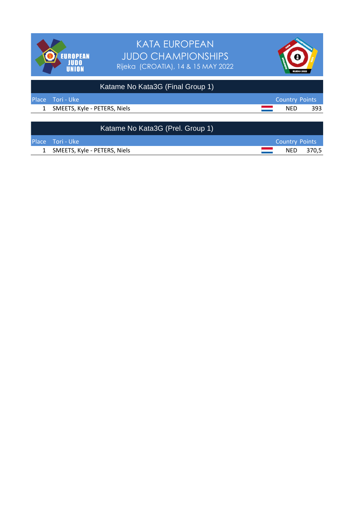

| Katame No Kata3G (Prel. Group 1) |                       |           |
|----------------------------------|-----------------------|-----------|
| <b>Place</b> Tori - Uke          | <b>Country Points</b> |           |
| 1 SMEETS, Kyle - PETERS, Niels   |                       | NED 370.5 |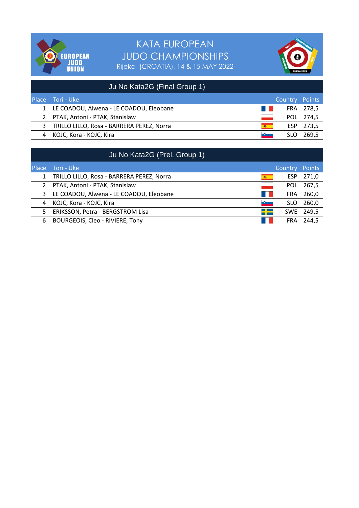



|   | Ju No Kata2G (Final Group 1)              |        |                |           |
|---|-------------------------------------------|--------|----------------|-----------|
|   | Place Tori - Uke                          |        | Country Points |           |
|   | 1 LE COADOU, Alwena - LE COADOU, Eleobane | a kale |                | FRA 278,5 |
| 2 | PTAK, Antoni - PTAK, Stanislaw            |        |                | POL 274,5 |
| 3 | TRILLO LILLO, Rosa - BARRERA PEREZ, Norra | 600 -  |                | ESP 273,5 |
|   | KOJC, Kora - KOJC, Kira                   |        |                | 269.5     |

|              | Ju No Kata2G (Prel. Group 1)              |         |            |        |
|--------------|-------------------------------------------|---------|------------|--------|
| <b>Place</b> | Tori - Uke                                |         | Country    | Points |
| $\mathbf{1}$ | TRILLO LILLO, Rosa - BARRERA PEREZ, Norra | 6 10    | ESP.       | 271,0  |
| 2            | PTAK, Antoni - PTAK, Stanislaw            |         | <b>POL</b> | 267,5  |
| 3            | LE COADOU, Alwena - LE COADOU, Eleobane   |         | <b>FRA</b> | 260,0  |
| 4            | KOJC, Kora - KOJC, Kira                   | $\sim$  | <b>SLO</b> | 260,0  |
| 5            | ERIKSSON, Petra - BERGSTROM Lisa          | $=$ $-$ | <b>SWE</b> | 249,5  |
| 6            | BOURGEOIS, Cleo - RIVIERE, Tony           |         | <b>FRA</b> | 244.5  |
|              |                                           |         |            |        |